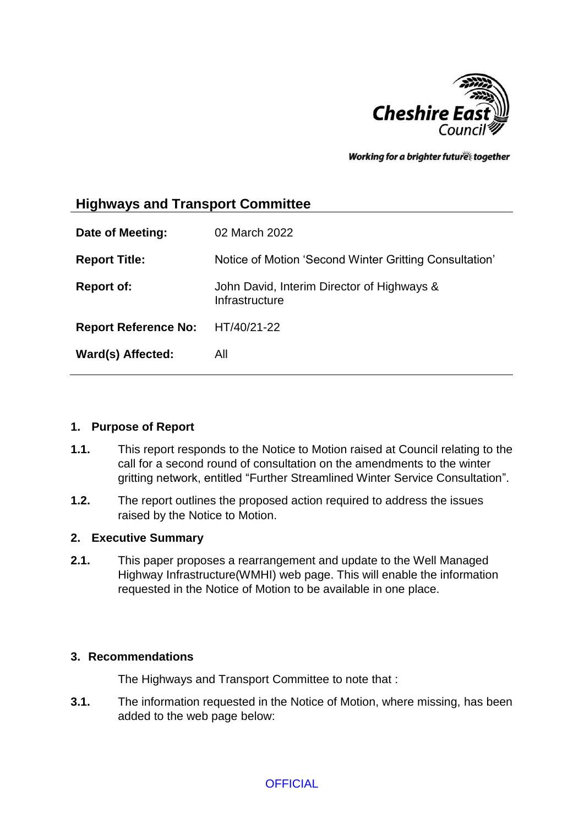

Working for a brighter futures together

# **Highways and Transport Committee**

| Date of Meeting:            | 02 March 2022                                                |
|-----------------------------|--------------------------------------------------------------|
| <b>Report Title:</b>        | Notice of Motion 'Second Winter Gritting Consultation'       |
| <b>Report of:</b>           | John David, Interim Director of Highways &<br>Infrastructure |
| <b>Report Reference No:</b> | HT/40/21-22                                                  |
| Ward(s) Affected:           | All                                                          |

### **1. Purpose of Report**

- **1.1.** This report responds to the Notice to Motion raised at Council relating to the call for a second round of consultation on the amendments to the winter gritting network, entitled "Further Streamlined Winter Service Consultation".
- **1.2.** The report outlines the proposed action required to address the issues raised by the Notice to Motion.

### **2. Executive Summary**

**2.1.** This paper proposes a rearrangement and update to the Well Managed Highway Infrastructure(WMHI) web page. This will enable the information requested in the Notice of Motion to be available in one place.

### **3. Recommendations**

The Highways and Transport Committee to note that :

**3.1.** The information requested in the Notice of Motion, where missing, has been added to the web page below: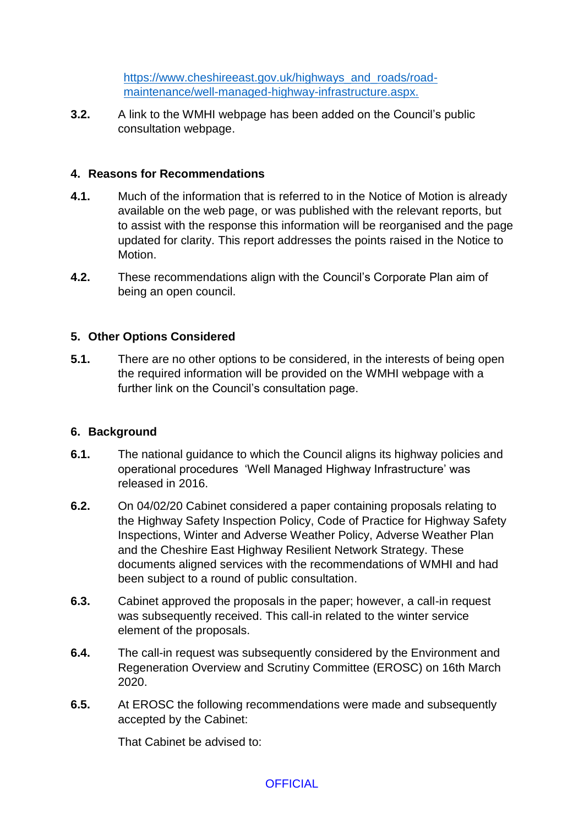[https://www.cheshireeast.gov.uk/highways\\_and\\_roads/road](https://www.cheshireeast.gov.uk/highways_and_roads/road-maintenance/well-managed-highway-infrastructure.aspx)[maintenance/well-managed-highway-infrastructure.aspx.](https://www.cheshireeast.gov.uk/highways_and_roads/road-maintenance/well-managed-highway-infrastructure.aspx)

**3.2.** A link to the WMHI webpage has been added on the Council's public consultation webpage.

### **4. Reasons for Recommendations**

- **4.1.** Much of the information that is referred to in the Notice of Motion is already available on the web page, or was published with the relevant reports, but to assist with the response this information will be reorganised and the page updated for clarity. This report addresses the points raised in the Notice to Motion.
- **4.2.** These recommendations align with the Council's Corporate Plan aim of being an open council.

### **5. Other Options Considered**

**5.1.** There are no other options to be considered, in the interests of being open the required information will be provided on the WMHI webpage with a further link on the Council's consultation page.

### **6. Background**

- **6.1.** The national guidance to which the Council aligns its highway policies and operational procedures 'Well Managed Highway Infrastructure' was released in 2016.
- **6.2.** On 04/02/20 Cabinet considered a paper containing proposals relating to the Highway Safety Inspection Policy, Code of Practice for Highway Safety Inspections, Winter and Adverse Weather Policy, Adverse Weather Plan and the Cheshire East Highway Resilient Network Strategy. These documents aligned services with the recommendations of WMHI and had been subject to a round of public consultation.
- **6.3.** Cabinet approved the proposals in the paper; however, a call-in request was subsequently received. This call-in related to the winter service element of the proposals.
- **6.4.** The call-in request was subsequently considered by the Environment and Regeneration Overview and Scrutiny Committee (EROSC) on 16th March 2020.
- **6.5.** At EROSC the following recommendations were made and subsequently accepted by the Cabinet:

That Cabinet be advised to: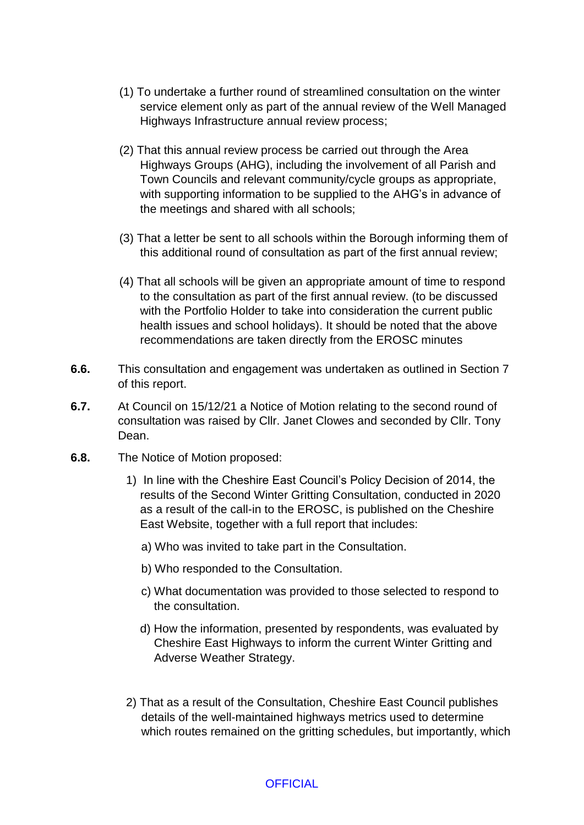- (1) To undertake a further round of streamlined consultation on the winter service element only as part of the annual review of the Well Managed Highways Infrastructure annual review process;
- (2) That this annual review process be carried out through the Area Highways Groups (AHG), including the involvement of all Parish and Town Councils and relevant community/cycle groups as appropriate, with supporting information to be supplied to the AHG's in advance of the meetings and shared with all schools;
- (3) That a letter be sent to all schools within the Borough informing them of this additional round of consultation as part of the first annual review;
- (4) That all schools will be given an appropriate amount of time to respond to the consultation as part of the first annual review. (to be discussed with the Portfolio Holder to take into consideration the current public health issues and school holidays). It should be noted that the above recommendations are taken directly from the EROSC minutes
- **6.6.** This consultation and engagement was undertaken as outlined in Section 7 of this report.
- **6.7.** At Council on 15/12/21 a Notice of Motion relating to the second round of consultation was raised by Cllr. Janet Clowes and seconded by Cllr. Tony Dean.
- **6.8.** The Notice of Motion proposed:
	- 1) In line with the Cheshire East Council's Policy Decision of 2014, the results of the Second Winter Gritting Consultation, conducted in 2020 as a result of the call-in to the EROSC, is published on the Cheshire East Website, together with a full report that includes:
		- a) Who was invited to take part in the Consultation.
		- b) Who responded to the Consultation.
		- c) What documentation was provided to those selected to respond to the consultation.
		- d) How the information, presented by respondents, was evaluated by Cheshire East Highways to inform the current Winter Gritting and Adverse Weather Strategy.
	- 2) That as a result of the Consultation, Cheshire East Council publishes details of the well-maintained highways metrics used to determine which routes remained on the gritting schedules, but importantly, which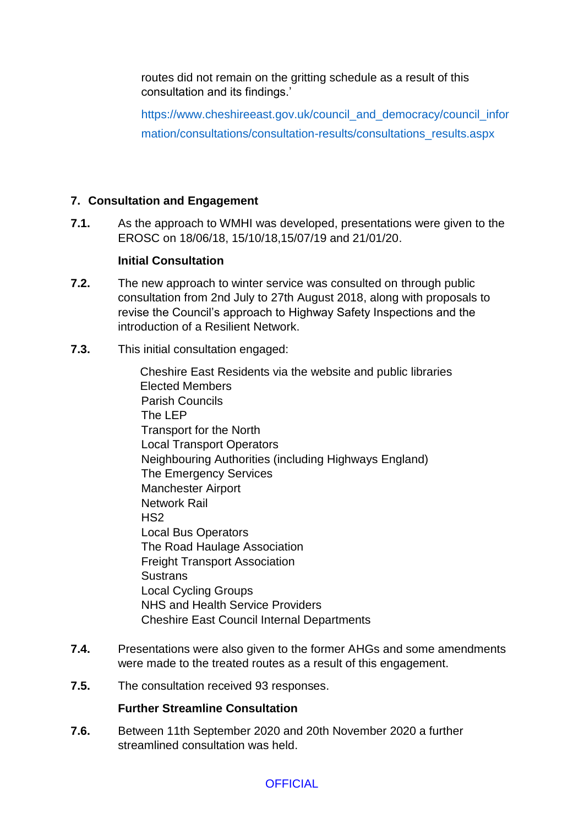routes did not remain on the gritting schedule as a result of this consultation and its findings.'

https://www.cheshireeast.gov.uk/council\_and\_democracy/council\_infor mation/consultations/consultation-results/consultations\_results.aspx

## **7. Consultation and Engagement**

**7.1.** As the approach to WMHI was developed, presentations were given to the EROSC on 18/06/18, 15/10/18,15/07/19 and 21/01/20.

### **Initial Consultation**

- **7.2.** The new approach to winter service was consulted on through public consultation from 2nd July to 27th August 2018, along with proposals to revise the Council's approach to Highway Safety Inspections and the introduction of a Resilient Network.
- **7.3.** This initial consultation engaged:

Cheshire East Residents via the website and public libraries Elected Members Parish Councils The LEP Transport for the North Local Transport Operators Neighbouring Authorities (including Highways England) The Emergency Services Manchester Airport Network Rail HS2 Local Bus Operators The Road Haulage Association Freight Transport Association **Sustrans** Local Cycling Groups NHS and Health Service Providers Cheshire East Council Internal Departments

- **7.4.** Presentations were also given to the former AHGs and some amendments were made to the treated routes as a result of this engagement.
- **7.5.** The consultation received 93 responses.

### **Further Streamline Consultation**

**7.6.** Between 11th September 2020 and 20th November 2020 a further streamlined consultation was held.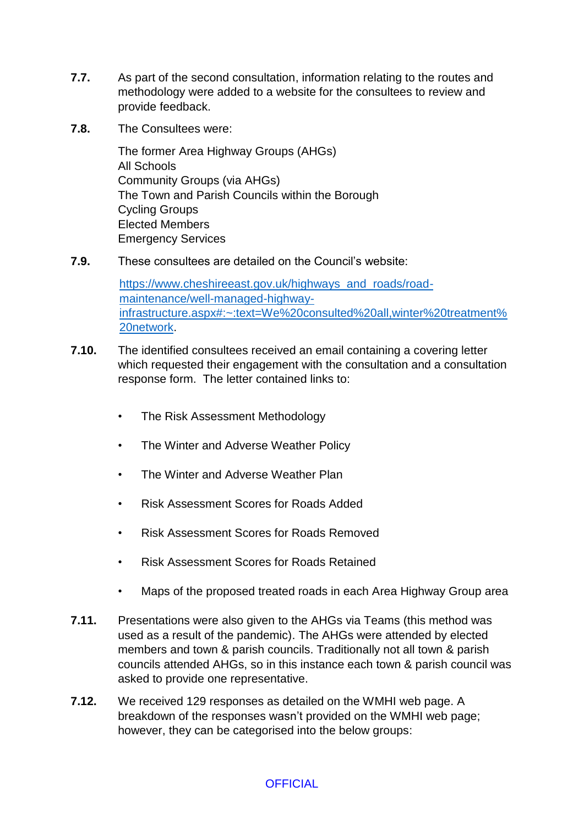- **7.7.** As part of the second consultation, information relating to the routes and methodology were added to a website for the consultees to review and provide feedback.
- **7.8.** The Consultees were:

The former Area Highway Groups (AHGs) All Schools Community Groups (via AHGs) The Town and Parish Councils within the Borough Cycling Groups Elected Members Emergency Services

**7.9.** These consultees are detailed on the Council's website:

[https://www.cheshireeast.gov.uk/highways\\_and\\_roads/road](https://www.cheshireeast.gov.uk/highways_and_roads/road-maintenance/well-managed-highway-infrastructure.aspx#:~:text=We%20consulted%20all,winter%20treatment%20network)[maintenance/well-managed-highway](https://www.cheshireeast.gov.uk/highways_and_roads/road-maintenance/well-managed-highway-infrastructure.aspx#:~:text=We%20consulted%20all,winter%20treatment%20network)[infrastructure.aspx#:~:text=We%20consulted%20all,winter%20treatment%](https://www.cheshireeast.gov.uk/highways_and_roads/road-maintenance/well-managed-highway-infrastructure.aspx#:~:text=We%20consulted%20all,winter%20treatment%20network) [20network.](https://www.cheshireeast.gov.uk/highways_and_roads/road-maintenance/well-managed-highway-infrastructure.aspx#:~:text=We%20consulted%20all,winter%20treatment%20network)

- **7.10.** The identified consultees received an email containing a covering letter which requested their engagement with the consultation and a consultation response form. The letter contained links to:
	- The Risk Assessment Methodology
	- The Winter and Adverse Weather Policy
	- The Winter and Adverse Weather Plan
	- Risk Assessment Scores for Roads Added
	- Risk Assessment Scores for Roads Removed
	- Risk Assessment Scores for Roads Retained
	- Maps of the proposed treated roads in each Area Highway Group area
- **7.11.** Presentations were also given to the AHGs via Teams (this method was used as a result of the pandemic). The AHGs were attended by elected members and town & parish councils. Traditionally not all town & parish councils attended AHGs, so in this instance each town & parish council was asked to provide one representative.
- **7.12.** We received 129 responses as detailed on the WMHI web page. A breakdown of the responses wasn't provided on the WMHI web page; however, they can be categorised into the below groups: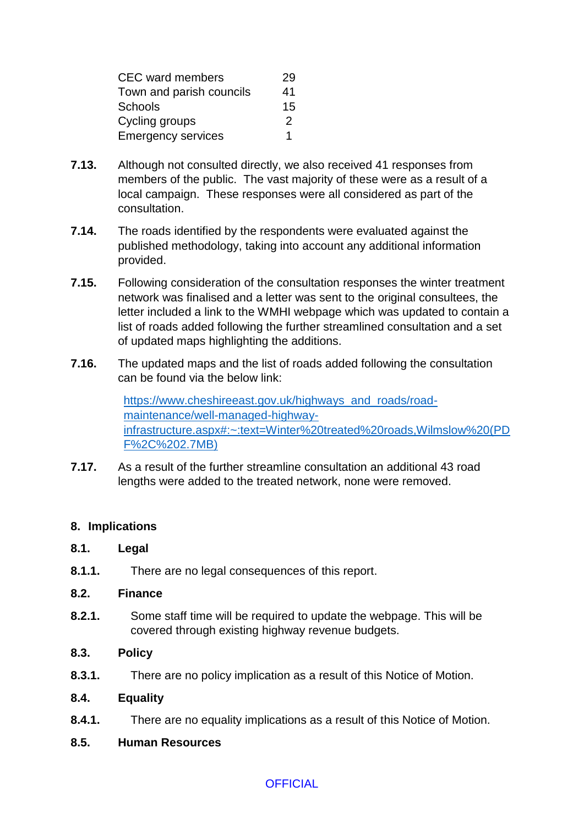| <b>CEC</b> ward members   | 29 |
|---------------------------|----|
| Town and parish councils  | 41 |
| <b>Schools</b>            | 15 |
| Cycling groups            | 2  |
| <b>Emergency services</b> | 1  |

- **7.13.** Although not consulted directly, we also received 41 responses from members of the public. The vast majority of these were as a result of a local campaign. These responses were all considered as part of the consultation.
- **7.14.** The roads identified by the respondents were evaluated against the published methodology, taking into account any additional information provided.
- **7.15.** Following consideration of the consultation responses the winter treatment network was finalised and a letter was sent to the original consultees, the letter included a link to the WMHI webpage which was updated to contain a list of roads added following the further streamlined consultation and a set of updated maps highlighting the additions.
- **7.16.** The updated maps and the list of roads added following the consultation can be found via the below link:

[https://www.cheshireeast.gov.uk/highways\\_and\\_roads/road](https://www.cheshireeast.gov.uk/highways_and_roads/road-maintenance/well-managed-highway-infrastructure.aspx#:~:text=Winter%20treated%20roads,Wilmslow%20(PDF%2C%202.7MB))[maintenance/well-managed-highway](https://www.cheshireeast.gov.uk/highways_and_roads/road-maintenance/well-managed-highway-infrastructure.aspx#:~:text=Winter%20treated%20roads,Wilmslow%20(PDF%2C%202.7MB))[infrastructure.aspx#:~:text=Winter%20treated%20roads,Wilmslow%20\(PD](https://www.cheshireeast.gov.uk/highways_and_roads/road-maintenance/well-managed-highway-infrastructure.aspx#:~:text=Winter%20treated%20roads,Wilmslow%20(PDF%2C%202.7MB)) [F%2C%202.7MB\)](https://www.cheshireeast.gov.uk/highways_and_roads/road-maintenance/well-managed-highway-infrastructure.aspx#:~:text=Winter%20treated%20roads,Wilmslow%20(PDF%2C%202.7MB))

**7.17.** As a result of the further streamline consultation an additional 43 road lengths were added to the treated network, none were removed.

### **8. Implications**

### **8.1. Legal**

**8.1.1.** There are no legal consequences of this report.

### **8.2. Finance**

**8.2.1.** Some staff time will be required to update the webpage. This will be covered through existing highway revenue budgets.

### **8.3. Policy**

**8.3.1.** There are no policy implication as a result of this Notice of Motion.

### **8.4. Equality**

**8.4.1.** There are no equality implications as a result of this Notice of Motion.

### **8.5. Human Resources**